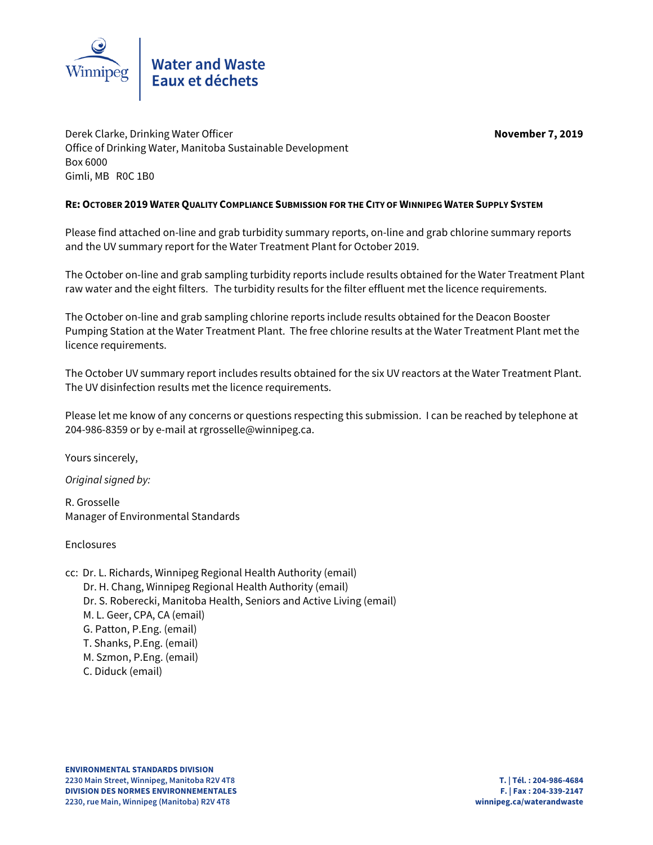

Derek Clarke, Drinking Water Officer **November 7, 2019** Office of Drinking Water, Manitoba Sustainable Development Box 6000 Gimli, MB R0C 1B0

# **RE:OCTOBER 2019 WATER QUALITY COMPLIANCE SUBMISSION FOR THE CITY OF WINNIPEG WATER SUPPLY SYSTEM**

Please find attached on-line and grab turbidity summary reports, on-line and grab chlorine summary reports and the UV summary report for the Water Treatment Plant for October 2019.

The October on-line and grab sampling turbidity reports include results obtained for the Water Treatment Plant raw water and the eight filters. The turbidity results for the filter effluent met the licence requirements.

The October on-line and grab sampling chlorine reports include results obtained for the Deacon Booster Pumping Station at the Water Treatment Plant. The free chlorine results at the Water Treatment Plant met the licence requirements.

The October UV summary report includes results obtained for the six UV reactors at the Water Treatment Plant. The UV disinfection results met the licence requirements.

Please let me know of any concerns or questions respecting this submission. I can be reached by telephone at 204-986-8359 or by e-mail at rgrosselle@winnipeg.ca.

Yours sincerely,

Original signed by:

R. Grosselle Manager of Environmental Standards

Enclosures

cc: Dr. L. Richards, Winnipeg Regional Health Authority (email) Dr. H. Chang, Winnipeg Regional Health Authority (email) Dr. S. Roberecki, Manitoba Health, Seniors and Active Living (email) M. L. Geer, CPA, CA (email) G. Patton, P.Eng. (email) T. Shanks, P.Eng. (email) M. Szmon, P.Eng. (email) C. Diduck (email)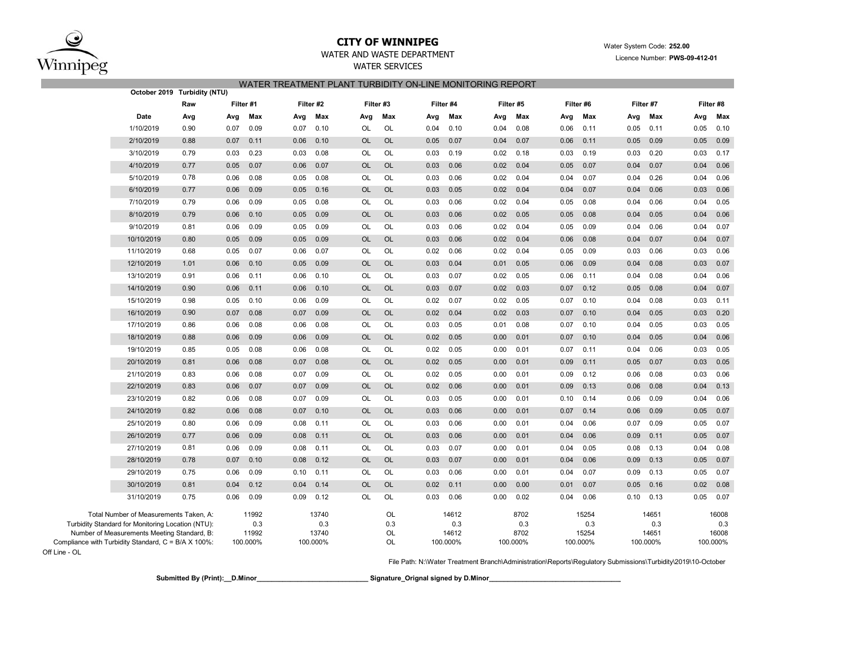

Off Line - OL

## **CITY OF WINNIPEG**WATER AND WASTE DEPARTMENT

# WATER SERVICES WATER TREATMENT PLANT TURBIDITY ON-LINE MONITORING REPORT

|                                                     | October 2019 Turbidity (NTU)                                                                |      |           |              |      |              |           |           |      |              |      |             |      |              |      |              |      |              |
|-----------------------------------------------------|---------------------------------------------------------------------------------------------|------|-----------|--------------|------|--------------|-----------|-----------|------|--------------|------|-------------|------|--------------|------|--------------|------|--------------|
|                                                     |                                                                                             | Raw  | Filter #1 |              |      | Filter #2    |           |           |      | Filter #4    |      | Filter #5   |      | Filter #6    |      | Filter #7    |      |              |
|                                                     | Date                                                                                        | Avg  | Avg       | Max          | Avg  | Max          | Avg       | Max       | Avg  | Max          | Avg  | Max         | Avg  | Max          | Avg  | Max          | Avg  | Max          |
|                                                     | 1/10/2019                                                                                   | 0.90 | 0.07      | 0.09         | 0.07 | 0.10         | OL        | OL        | 0.04 | 0.10         | 0.04 | 0.08        | 0.06 | 0.11         | 0.05 | 0.11         | 0.05 | 0.10         |
|                                                     | 2/10/2019                                                                                   | 0.88 | 0.07      | 0.11         | 0.06 | 0.10         | <b>OL</b> | <b>OL</b> | 0.05 | 0.07         | 0.04 | 0.07        | 0.06 | 0.11         | 0.05 | 0.09         | 0.05 | 0.09         |
|                                                     | 3/10/2019                                                                                   | 0.79 | 0.03      | 0.23         | 0.03 | 0.08         | OL        | OL        | 0.03 | 0.19         | 0.02 | 0.18        | 0.03 | 0.19         | 0.03 | 0.20         | 0.03 | 0.17         |
|                                                     | 4/10/2019                                                                                   | 0.77 | 0.05      | 0.07         | 0.06 | 0.07         | OL        | <b>OL</b> | 0.03 | 0.06         | 0.02 | 0.04        | 0.05 | 0.07         | 0.04 | 0.07         | 0.04 | 0.06         |
|                                                     | 5/10/2019                                                                                   | 0.78 | 0.06      | 0.08         | 0.05 | 0.08         | OL        | OL        | 0.03 | 0.06         | 0.02 | 0.04        | 0.04 | 0.07         | 0.04 | 0.26         | 0.04 | 0.06         |
|                                                     | 6/10/2019                                                                                   | 0.77 | 0.06      | 0.09         | 0.05 | 0.16         | OL        | <b>OL</b> | 0.03 | 0.05         | 0.02 | 0.04        | 0.04 | 0.07         | 0.04 | 0.06         | 0.03 | 0.06         |
|                                                     | 7/10/2019                                                                                   | 0.79 | 0.06      | 0.09         | 0.05 | 0.08         | OL        | OL        | 0.03 | 0.06         | 0.02 | 0.04        | 0.05 | 0.08         | 0.04 | 0.06         | 0.04 | 0.05         |
|                                                     | 8/10/2019                                                                                   | 0.79 | 0.06      | 0.10         | 0.05 | 0.09         | <b>OL</b> | <b>OL</b> | 0.03 | 0.06         | 0.02 | 0.05        | 0.05 | 0.08         | 0.04 | 0.05         | 0.04 | 0.06         |
|                                                     | 9/10/2019                                                                                   | 0.81 | 0.06      | 0.09         | 0.05 | 0.09         | OL        | OL        | 0.03 | 0.06         | 0.02 | 0.04        | 0.05 | 0.09         | 0.04 | 0.06         | 0.04 | 0.07         |
|                                                     | 10/10/2019                                                                                  | 0.80 | 0.05      | 0.09         | 0.05 | 0.09         | OL        | <b>OL</b> | 0.03 | 0.06         | 0.02 | 0.04        | 0.06 | 0.08         | 0.04 | 0.07         | 0.04 | 0.07         |
|                                                     | 11/10/2019                                                                                  | 0.68 | 0.05      | 0.07         | 0.06 | 0.07         | OL        | OL        | 0.02 | 0.06         | 0.02 | 0.04        | 0.05 | 0.09         | 0.03 | 0.06         | 0.03 | 0.06         |
|                                                     | 12/10/2019                                                                                  | 1.01 | 0.06      | 0.10         | 0.05 | 0.09         | <b>OL</b> | <b>OL</b> | 0.03 | 0.04         | 0.01 | 0.05        | 0.06 | 0.09         | 0.04 | 0.08         | 0.03 | 0.07         |
|                                                     | 13/10/2019                                                                                  | 0.91 | 0.06      | 0.11         | 0.06 | 0.10         | OL        | OL        | 0.03 | 0.07         | 0.02 | 0.05        | 0.06 | 0.11         | 0.04 | 0.08         | 0.04 | 0.06         |
|                                                     | 14/10/2019                                                                                  | 0.90 | 0.06      | 0.11         | 0.06 | 0.10         | <b>OL</b> | <b>OL</b> | 0.03 | 0.07         | 0.02 | 0.03        | 0.07 | 0.12         | 0.05 | 0.08         | 0.04 | 0.07         |
|                                                     | 15/10/2019                                                                                  | 0.98 | 0.05      | 0.10         | 0.06 | 0.09         | OL        | OL        | 0.02 | 0.07         | 0.02 | 0.05        | 0.07 | 0.10         | 0.04 | 0.08         | 0.03 | 0.11         |
|                                                     | 16/10/2019                                                                                  | 0.90 | 0.07      | 0.08         | 0.07 | 0.09         | <b>OL</b> | <b>OL</b> | 0.02 | 0.04         | 0.02 | 0.03        | 0.07 | 0.10         | 0.04 | 0.05         | 0.03 | 0.20         |
|                                                     | 17/10/2019                                                                                  | 0.86 | 0.06      | 0.08         | 0.06 | 0.08         | OL        | OL        | 0.03 | 0.05         | 0.01 | 0.08        | 0.07 | 0.10         | 0.04 | 0.05         | 0.03 | 0.05         |
|                                                     | 18/10/2019                                                                                  | 0.88 | 0.06      | 0.09         | 0.06 | 0.09         | OL        | <b>OL</b> | 0.02 | 0.05         | 0.00 | 0.01        | 0.07 | 0.10         | 0.04 | 0.05         | 0.04 | 0.06         |
|                                                     | 19/10/2019                                                                                  | 0.85 | 0.05      | 0.08         | 0.06 | 0.08         | OL        | OL        | 0.02 | 0.05         | 0.00 | 0.01        | 0.07 | 0.11         | 0.04 | 0.06         | 0.03 | 0.05         |
|                                                     | 20/10/2019                                                                                  | 0.81 | 0.06      | 0.08         | 0.07 | 0.08         | OL        | <b>OL</b> | 0.02 | 0.05         | 0.00 | 0.01        | 0.09 | 0.11         | 0.05 | 0.07         | 0.03 | 0.05         |
|                                                     | 21/10/2019                                                                                  | 0.83 | 0.06      | 0.08         | 0.07 | 0.09         | OL        | OL        | 0.02 | 0.05         | 0.00 | 0.01        | 0.09 | 0.12         | 0.06 | 0.08         | 0.03 | 0.06         |
|                                                     | 22/10/2019                                                                                  | 0.83 | 0.06      | 0.07         | 0.07 | 0.09         | OL        | <b>OL</b> | 0.02 | 0.06         | 0.00 | 0.01        | 0.09 | 0.13         | 0.06 | 0.08         | 0.04 | 0.13         |
|                                                     | 23/10/2019                                                                                  | 0.82 | 0.06      | 0.08         | 0.07 | 0.09         | OL        | OL        | 0.03 | 0.05         | 0.00 | 0.01        | 0.10 | 0.14         | 0.06 | 0.09         | 0.04 | 0.06         |
|                                                     | 24/10/2019                                                                                  | 0.82 | 0.06      | 0.08         | 0.07 | 0.10         | OL        | <b>OL</b> | 0.03 | 0.06         | 0.00 | 0.01        | 0.07 | 0.14         | 0.06 | 0.09         | 0.05 | 0.07         |
|                                                     | 25/10/2019                                                                                  | 0.80 | 0.06      | 0.09         | 0.08 | 0.11         | OL        | OL        | 0.03 | 0.06         | 0.00 | 0.01        | 0.04 | 0.06         | 0.07 | 0.09         | 0.05 | 0.07         |
|                                                     | 26/10/2019                                                                                  | 0.77 | 0.06      | 0.09         | 0.08 | 0.11         | OL        | <b>OL</b> | 0.03 | 0.06         | 0.00 | 0.01        | 0.04 | 0.06         | 0.09 | 0.11         | 0.05 | 0.07         |
|                                                     | 27/10/2019                                                                                  | 0.81 | 0.06      | 0.09         | 0.08 | 0.11         | OL        | OL        | 0.03 | 0.07         | 0.00 | 0.01        | 0.04 | 0.05         | 0.08 | 0.13         | 0.04 | 0.08         |
|                                                     | 28/10/2019                                                                                  | 0.78 | 0.07      | 0.10         | 0.08 | 0.12         | <b>OL</b> | <b>OL</b> | 0.03 | 0.07         | 0.00 | 0.01        | 0.04 | 0.06         | 0.09 | 0.13         | 0.05 | 0.07         |
|                                                     | 29/10/2019                                                                                  | 0.75 | 0.06      | 0.09         | 0.10 | 0.11         | OL        | OL        | 0.03 | 0.06         | 0.00 | 0.01        | 0.04 | 0.07         | 0.09 | 0.13         | 0.05 | 0.07         |
|                                                     | 30/10/2019                                                                                  | 0.81 | 0.04      | 0.12         | 0.04 | 0.14         | <b>OL</b> | <b>OL</b> | 0.02 | 0.11         | 0.00 | 0.00        | 0.01 | 0.07         | 0.05 | 0.16         | 0.02 | 0.08         |
|                                                     | 31/10/2019                                                                                  | 0.75 | 0.06      | 0.09         | 0.09 | 0.12         | OL        | OL        | 0.03 | 0.06         | 0.00 | 0.02        | 0.04 | 0.06         | 0.10 | 0.13         | 0.05 | 0.07         |
|                                                     | Total Number of Measurements Taken, A:<br>Turbidity Standard for Monitoring Location (NTU): |      |           | 11992<br>0.3 |      | 13740<br>0.3 |           | OL<br>0.3 |      | 14612<br>0.3 |      | 8702<br>0.3 |      | 15254<br>0.3 |      | 14651<br>0.3 |      | 16008<br>0.3 |
| Number of Measurements Meeting Standard, B:         |                                                                                             |      |           | 11992        |      | 13740        |           | <b>OL</b> |      | 14612        |      | 8702        |      | 15254        |      | 14651        |      | 16008        |
| Compliance with Turbidity Standard, C = B/A X 100%: |                                                                                             |      |           | 100.000%     |      | 100.000%     |           | <b>OL</b> |      | 100.000%     |      | 100.000%    |      | 100.000%     |      | 100.000%     |      | 100.000%     |

File Path: N:\Water Treatment Branch\Administration\Reports\Regulatory Submissions\Turbidity\2019\10-October

**Submitted By (Print):\_\_D.Minor\_\_\_\_\_\_\_\_\_\_\_\_\_\_\_\_\_\_\_\_\_\_\_\_\_\_\_\_\_\_ Signature\_Orignal signed by D.Minor\_\_\_\_\_\_\_\_\_\_\_\_\_\_\_\_\_\_\_\_\_\_\_\_\_\_\_\_\_\_\_\_\_\_\_\_**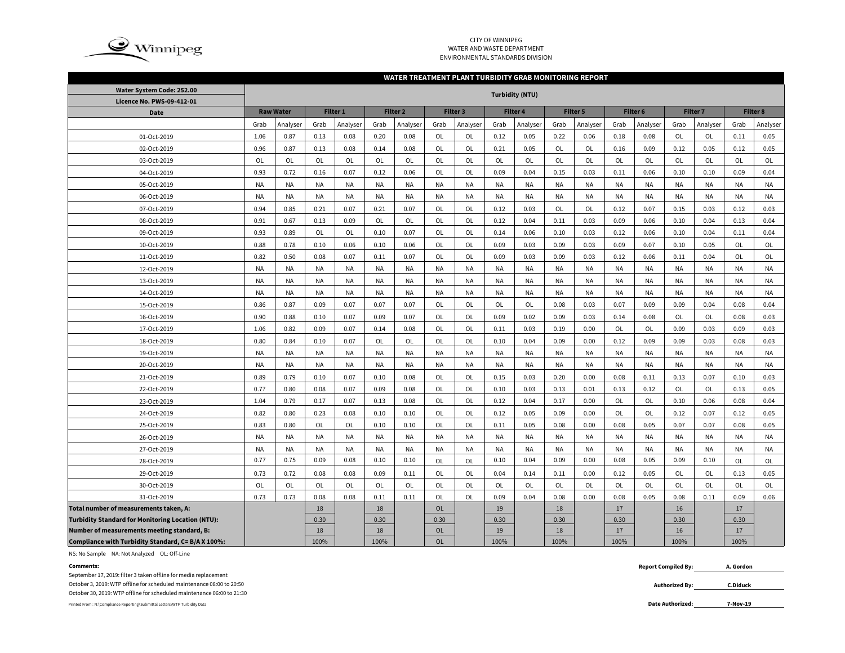

## CITY OF WINNIPEG WATER AND WASTE DEPARTMENTENVIRONMENTAL STANDARDS DIVISION

### **WATER TREATMENT PLANT TURBIDITY GRAB MONITORING REPORT**

| Water System Code: 252.00                                | <b>Turbidity (NTU)</b> |                  |                 |           |           |                     |           |           |           |           |           |           |           |           |                 |           |           |           |
|----------------------------------------------------------|------------------------|------------------|-----------------|-----------|-----------|---------------------|-----------|-----------|-----------|-----------|-----------|-----------|-----------|-----------|-----------------|-----------|-----------|-----------|
| Licence No. PWS-09-412-01                                |                        |                  |                 |           |           |                     |           |           |           |           |           |           |           |           |                 |           |           |           |
| <b>Date</b>                                              |                        | <b>Raw Water</b> | <b>Filter 1</b> |           |           | Filter <sub>2</sub> |           | Filter 3  | Filter 4  |           |           | Filter 5  | Filter 6  |           | <b>Filter 7</b> |           | Filter 8  |           |
|                                                          | Grab                   | Analyser         | Grab            | Analyser  | Grab      | Analyser            | Grab      | Analyser  | Grab      | Analyser  | Grab      | Analyser  | Grab      | Analyser  | Grab            | Analyser  | Grab      | Analyser  |
| 01-Oct-2019                                              | 1.06                   | 0.87             | 0.13            | 0.08      | 0.20      | 0.08                | OL        | OL        | 0.12      | 0.05      | 0.22      | 0.06      | 0.18      | 0.08      | OL              | OL        | 0.11      | 0.05      |
| 02-Oct-2019                                              | 0.96                   | 0.87             | 0.13            | 0.08      | 0.14      | 0.08                | OL        | OL        | 0.21      | 0.05      | <b>OL</b> | <b>OL</b> | 0.16      | 0.09      | 0.12            | 0.05      | 0.12      | 0.05      |
| 03-Oct-2019                                              | OL                     | <b>OL</b>        | OL              | OL        | OL        | OL                  | OL        | OL        | OL        | OL        | <b>OL</b> | OL        | OL        | OL        | OL              | OL        | OL        | OL        |
| 04-Oct-2019                                              | 0.93                   | 0.72             | 0.16            | 0.07      | 0.12      | 0.06                | OL        | OL        | 0.09      | 0.04      | 0.15      | 0.03      | 0.11      | 0.06      | 0.10            | 0.10      | 0.09      | 0.04      |
| 05-Oct-2019                                              | <b>NA</b>              | <b>NA</b>        | <b>NA</b>       | <b>NA</b> | <b>NA</b> | <b>NA</b>           | <b>NA</b> | <b>NA</b> | <b>NA</b> | <b>NA</b> | <b>NA</b> | <b>NA</b> | NA        | <b>NA</b> | <b>NA</b>       | <b>NA</b> | <b>NA</b> | <b>NA</b> |
| 06-Oct-2019                                              | <b>NA</b>              | <b>NA</b>        | <b>NA</b>       | <b>NA</b> | <b>NA</b> | <b>NA</b>           | <b>NA</b> | <b>NA</b> | <b>NA</b> | <b>NA</b> | <b>NA</b> | NA        | NA        | <b>NA</b> | <b>NA</b>       | <b>NA</b> | <b>NA</b> | <b>NA</b> |
| 07-Oct-2019                                              | 0.94                   | 0.85             | 0.21            | 0.07      | 0.21      | 0.07                | OL        | OL        | 0.12      | 0.03      | <b>OL</b> | <b>OL</b> | 0.12      | 0.07      | 0.15            | 0.03      | 0.12      | 0.03      |
| 08-Oct-2019                                              | 0.91                   | 0.67             | 0.13            | 0.09      | OL        | OL                  | OL        | OL        | 0.12      | 0.04      | 0.11      | 0.03      | 0.09      | 0.06      | 0.10            | 0.04      | 0.13      | 0.04      |
| 09-Oct-2019                                              | 0.93                   | 0.89             | OL              | OL        | 0.10      | 0.07                | OL        | OL        | 0.14      | 0.06      | 0.10      | 0.03      | 0.12      | 0.06      | 0.10            | 0.04      | 0.11      | 0.04      |
| 10-Oct-2019                                              | 0.88                   | 0.78             | 0.10            | 0.06      | 0.10      | 0.06                | OL        | OL        | 0.09      | 0.03      | 0.09      | 0.03      | 0.09      | 0.07      | 0.10            | 0.05      | OL        | OL        |
| 11-Oct-2019                                              | 0.82                   | 0.50             | 0.08            | 0.07      | 0.11      | 0.07                | <b>OL</b> | <b>OL</b> | 0.09      | 0.03      | 0.09      | 0.03      | 0.12      | 0.06      | 0.11            | 0.04      | <b>OL</b> | <b>OL</b> |
| 12-Oct-2019                                              | <b>NA</b>              | <b>NA</b>        | NA              | NA        | <b>NA</b> | <b>NA</b>           | <b>NA</b> | <b>NA</b> | <b>NA</b> | <b>NA</b> | <b>NA</b> | NA        | <b>NA</b> | <b>NA</b> | <b>NA</b>       | <b>NA</b> | <b>NA</b> | <b>NA</b> |
| 13-Oct-2019                                              | <b>NA</b>              | <b>NA</b>        | <b>NA</b>       | NA        | <b>NA</b> | <b>NA</b>           | <b>NA</b> | <b>NA</b> | <b>NA</b> | <b>NA</b> | <b>NA</b> | NA        | NA        | <b>NA</b> | <b>NA</b>       | <b>NA</b> | <b>NA</b> | <b>NA</b> |
| 14-Oct-2019                                              | <b>NA</b>              | <b>NA</b>        | <b>NA</b>       | NA        | <b>NA</b> | NA                  | <b>NA</b> | <b>NA</b> | <b>NA</b> | <b>NA</b> | <b>NA</b> | NA        | NA        | NA        | NA              | NA        | <b>NA</b> | <b>NA</b> |
| 15-Oct-2019                                              | 0.86                   | 0.87             | 0.09            | 0.07      | 0.07      | 0.07                | OL        | OL        | OL        | OL        | 0.08      | 0.03      | 0.07      | 0.09      | 0.09            | 0.04      | 0.08      | 0.04      |
| 16-Oct-2019                                              | 0.90                   | 0.88             | 0.10            | 0.07      | 0.09      | 0.07                | OL        | OL        | 0.09      | 0.02      | 0.09      | 0.03      | 0.14      | 0.08      | OL              | OL        | 0.08      | 0.03      |
| 17-Oct-2019                                              | 1.06                   | 0.82             | 0.09            | 0.07      | 0.14      | 0.08                | OL        | OL        | 0.11      | 0.03      | 0.19      | 0.00      | OL        | OL        | 0.09            | 0.03      | 0.09      | 0.03      |
| 18-Oct-2019                                              | 0.80                   | 0.84             | 0.10            | 0.07      | OL        | OL                  | OL        | OL        | 0.10      | 0.04      | 0.09      | 0.00      | 0.12      | 0.09      | 0.09            | 0.03      | 0.08      | 0.03      |
| 19-Oct-2019                                              | <b>NA</b>              | <b>NA</b>        | <b>NA</b>       | <b>NA</b> | <b>NA</b> | <b>NA</b>           | <b>NA</b> | <b>NA</b> | <b>NA</b> | NA        | <b>NA</b> | NA        | NA        | <b>NA</b> | <b>NA</b>       | <b>NA</b> | <b>NA</b> | <b>NA</b> |
| 20-Oct-2019                                              | <b>NA</b>              | <b>NA</b>        | <b>NA</b>       | <b>NA</b> | <b>NA</b> | <b>NA</b>           | <b>NA</b> | <b>NA</b> | <b>NA</b> | NA        | <b>NA</b> | NA        | <b>NA</b> | <b>NA</b> | <b>NA</b>       | <b>NA</b> | <b>NA</b> | NA        |
| 21-Oct-2019                                              | 0.89                   | 0.79             | 0.10            | 0.07      | 0.10      | 0.08                | OL        | OL        | 0.15      | 0.03      | 0.20      | 0.00      | 0.08      | 0.11      | 0.13            | 0.07      | 0.10      | 0.03      |
| 22-Oct-2019                                              | 0.77                   | 0.80             | 0.08            | 0.07      | 0.09      | 0.08                | <b>OL</b> | OL        | 0.10      | 0.03      | 0.13      | 0.01      | 0.13      | 0.12      | OL              | <b>OL</b> | 0.13      | 0.05      |
| 23-Oct-2019                                              | 1.04                   | 0.79             | 0.17            | 0.07      | 0.13      | 0.08                | <b>OL</b> | OL        | 0.12      | 0.04      | 0.17      | 0.00      | <b>OL</b> | OL        | 0.10            | 0.06      | 0.08      | 0.04      |
| 24-Oct-2019                                              | 0.82                   | 0.80             | 0.23            | 0.08      | 0.10      | 0.10                | <b>OL</b> | OL        | 0.12      | 0.05      | 0.09      | 0.00      | <b>OL</b> | OL        | 0.12            | 0.07      | 0.12      | 0.05      |
| 25-Oct-2019                                              | 0.83                   | 0.80             | OL              | OL        | 0.10      | 0.10                | <b>OL</b> | OL        | 0.11      | 0.05      | 0.08      | 0.00      | 0.08      | 0.05      | 0.07            | 0.07      | 0.08      | 0.05      |
| 26-Oct-2019                                              | <b>NA</b>              | <b>NA</b>        | NA              | NA        | <b>NA</b> | <b>NA</b>           | <b>NA</b> | <b>NA</b> | <b>NA</b> | <b>NA</b> | <b>NA</b> | NA        | ΝA        | <b>NA</b> | <b>NA</b>       | <b>NA</b> | <b>NA</b> | <b>NA</b> |
| 27-Oct-2019                                              | <b>NA</b>              | <b>NA</b>        | NA              | <b>NA</b> | <b>NA</b> | <b>NA</b>           | <b>NA</b> | <b>NA</b> | <b>NA</b> | <b>NA</b> | <b>NA</b> | NA        | NA        | <b>NA</b> | <b>NA</b>       | <b>NA</b> | <b>NA</b> | <b>NA</b> |
| 28-Oct-2019                                              | 0.77                   | 0.75             | 0.09            | 0.08      | 0.10      | 0.10                | OL        | OL        | 0.10      | 0.04      | 0.09      | 0.00      | 0.08      | 0.05      | 0.09            | 0.10      | OL        | OL        |
| 29-Oct-2019                                              | 0.73                   | 0.72             | 0.08            | 0.08      | 0.09      | 0.11                | OL        | OL        | 0.04      | 0.14      | 0.11      | 0.00      | 0.12      | 0.05      | OL              | OL        | 0.13      | 0.05      |
| 30-Oct-2019                                              | OL                     | OL               | <b>OL</b>       | OL        | OL        | OL                  | OL        | OL        | OL        | OL        | OL        | OL        | OL        | OL        | OL              | OL        | OL        | OL        |
| 31-Oct-2019                                              | 0.73                   | 0.73             | 0.08            | 0.08      | 0.11      | 0.11                | OL        | OL        | 0.09      | 0.04      | 0.08      | 0.00      | 0.08      | 0.05      | 0.08            | 0.11      | 0.09      | 0.06      |
| Total number of measurements taken, A:                   |                        |                  | 18              |           | 18        |                     | <b>OL</b> |           | 19        |           | 18        |           | 17        |           | 16              |           | 17        |           |
| <b>Turbidity Standard for Monitoring Location (NTU):</b> |                        |                  | 0.30            |           | 0.30      |                     | 0.30      |           | 0.30      |           | 0.30      |           | 0.30      |           | 0.30            |           | 0.30      |           |
| Number of measurements meeting standard, B:              |                        |                  | 18              |           | 18        |                     | <b>OL</b> |           | 19        |           | 18        |           | 17        |           | 16              |           | 17        |           |
| Compliance with Turbidity Standard, C= B/A X 100%:       |                        |                  | 100%            |           | 100%      |                     | <b>OL</b> |           | 100%      |           | 100%      |           | 100%      |           | 100%            |           | 100%      |           |

NS: No Sample NA: Not Analyzed OL: Off-Line

September 17, 2019: filter 3 taken offline for media replacement

October 3, 2019: WTP offline for scheduled maintenance 08:00 to 20:50

October 30, 2019: WTP offline for scheduled maintenance 06:00 to 21:30

Printed From : N:\Compliance Reporting\Submittal Letters\WTP Turbidity Data **Date Authorized:** 

**Comments: Report Compiled By: A. Gordon**

> **Authorized By: C.Diduck**

**7-Nov-19**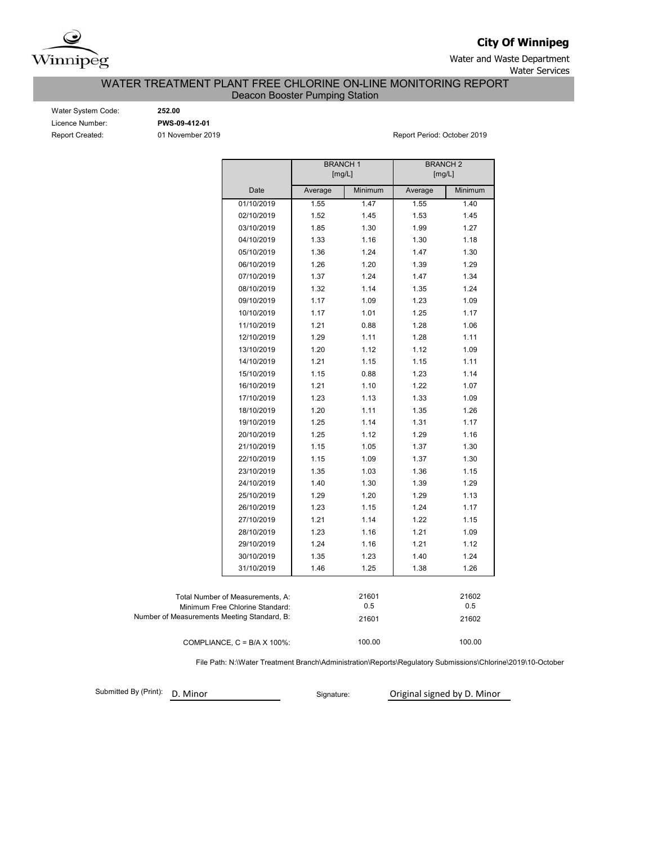

**City Of Winnipeg**

Water and Waste Department Water Services

WATER TREATMENT PLANT FREE CHLORINE ON-LINE MONITORING REPORT

Deacon Booster Pumping Station

Water System Code: **252.00** Licence Number: **PWS-09-412-01**

Report Created: 01 November 2019 **Report Period: October 2019** Report Period: October 2019

|                                             |                                      | <b>BRANCH1</b> | [mg/L]  | <b>BRANCH2</b><br>[mg/L] |         |
|---------------------------------------------|--------------------------------------|----------------|---------|--------------------------|---------|
|                                             | Date                                 | Average        | Minimum | Average                  | Minimum |
|                                             | 01/10/2019                           | 1.55           | 1.47    | 1.55                     | 1.40    |
|                                             | 02/10/2019                           | 1.52           | 1.45    | 1.53                     | 1.45    |
|                                             | 03/10/2019                           | 1.85           | 1.30    | 1.99                     | 1.27    |
|                                             | 04/10/2019                           | 1.33           | 1.16    | 1.30                     | 1.18    |
|                                             | 05/10/2019                           | 1.36           | 1.24    | 1.47                     | 1.30    |
|                                             | 06/10/2019                           | 1.26           | 1.20    | 1.39                     | 1.29    |
|                                             | 07/10/2019                           | 1.37           | 1.24    | 1.47                     | 1.34    |
|                                             | 08/10/2019                           | 1.32           | 1.14    | 1.35                     | 1.24    |
|                                             | 09/10/2019                           | 1.17           | 1.09    | 1.23                     | 1.09    |
|                                             | 10/10/2019                           | 1.17           | 1.01    | 1.25                     | 1.17    |
|                                             | 11/10/2019                           | 1.21           | 0.88    | 1.28                     | 1.06    |
|                                             | 12/10/2019                           | 1.29           | 1.11    | 1.28                     | 1.11    |
|                                             | 13/10/2019                           | 1.20           | 1.12    | 1.12                     | 1.09    |
|                                             | 14/10/2019                           | 1.21           | 1.15    | 1.15                     | 1.11    |
|                                             | 15/10/2019                           | 1.15           | 0.88    | 1.23                     | 1.14    |
|                                             | 16/10/2019                           | 1.21           | 1.10    | 1.22                     | 1.07    |
|                                             | 17/10/2019                           | 1.23           | 1.13    | 1.33                     | 1.09    |
|                                             | 18/10/2019                           | 1.20           | 1.11    | 1.35                     | 1.26    |
|                                             | 19/10/2019                           | 1.25           | 1.14    | 1.31                     | 1.17    |
|                                             | 20/10/2019                           | 1.25           | 1.12    | 1.29                     | 1.16    |
|                                             | 21/10/2019                           | 1.15           | 1.05    | 1.37                     | 1.30    |
|                                             | 22/10/2019                           | 1.15           | 1.09    | 1.37                     | 1.30    |
|                                             | 23/10/2019                           | 1.35           | 1.03    | 1.36                     | 1.15    |
|                                             | 24/10/2019                           | 1.40           | 1.30    | 1.39                     | 1.29    |
|                                             | 25/10/2019                           | 1.29           | 1.20    | 1.29                     | 1.13    |
|                                             | 26/10/2019                           | 1.23           | 1.15    | 1.24                     | 1.17    |
|                                             | 27/10/2019                           | 1.21           | 1.14    | 1.22                     | 1.15    |
|                                             | 28/10/2019                           | 1.23           | 1.16    | 1.21                     | 1.09    |
|                                             | 29/10/2019                           | 1.24           | 1.16    | 1.21                     | 1.12    |
|                                             | 30/10/2019                           | 1.35           | 1.23    | 1.40                     | 1.24    |
|                                             | 31/10/2019                           | 1.46           | 1.25    | 1.38                     | 1.26    |
|                                             |                                      |                |         |                          |         |
|                                             | Total Number of Measurements, A:     |                | 21601   |                          | 21602   |
|                                             | Minimum Free Chlorine Standard:      |                | 0.5     |                          | 0.5     |
| Number of Measurements Meeting Standard, B: |                                      |                | 21601   |                          | 21602   |
|                                             | COMPLIANCE, $C = B/A \times 100\%$ : |                | 100.00  |                          | 100.00  |

File Path: N:\Water Treatment Branch\Administration\Reports\Regulatory Submissions\Chlorine\2019\10-October

Submitted By (Print): D. Minor

Signature: **Original signed by D. Minor**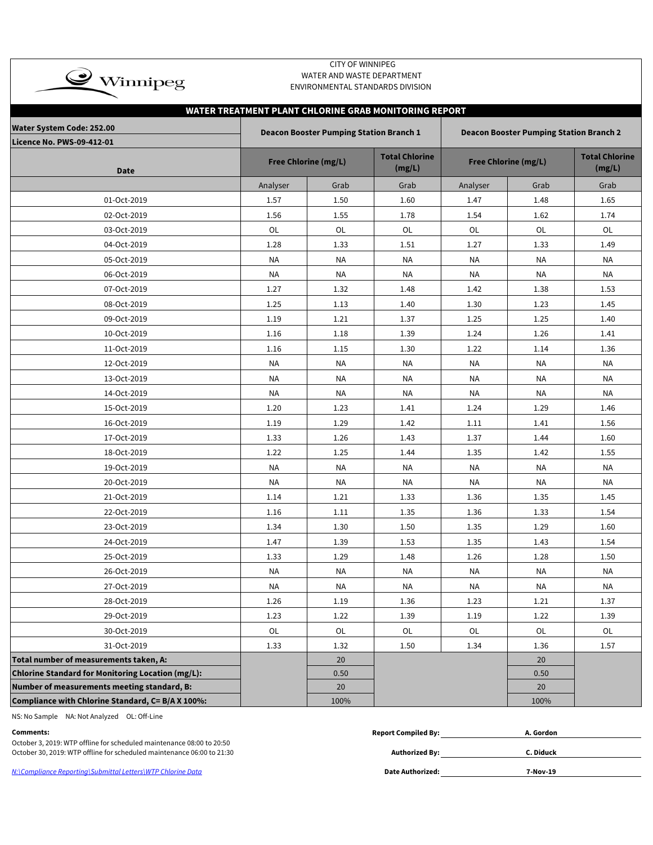| $\clubsuit$ Winnipeg                              |           | <b>CITY OF WINNIPEG</b><br>WATER AND WASTE DEPARTMENT<br>ENVIRONMENTAL STANDARDS DIVISION |                                                       |                             |                                                |                                 |  |
|---------------------------------------------------|-----------|-------------------------------------------------------------------------------------------|-------------------------------------------------------|-----------------------------|------------------------------------------------|---------------------------------|--|
|                                                   |           |                                                                                           | WATER TREATMENT PLANT CHLORINE GRAB MONITORING REPORT |                             |                                                |                                 |  |
| <b>Water System Code: 252.00</b>                  |           | <b>Deacon Booster Pumping Station Branch 1</b>                                            |                                                       |                             | <b>Deacon Booster Pumping Station Branch 2</b> |                                 |  |
| Licence No. PWS-09-412-01<br><b>Date</b>          |           | <b>Free Chlorine (mg/L)</b>                                                               | <b>Total Chlorine</b><br>(mg/L)                       | <b>Free Chlorine (mg/L)</b> |                                                | <b>Total Chlorine</b><br>(mg/L) |  |
|                                                   | Analyser  | Grab                                                                                      | Grab                                                  | Analyser                    | Grab                                           | Grab                            |  |
| 01-Oct-2019                                       | 1.57      | 1.50                                                                                      | 1.60                                                  | 1.47                        | 1.48                                           | 1.65                            |  |
| 02-Oct-2019                                       | 1.56      | 1.55                                                                                      | 1.78                                                  | 1.54                        | 1.62                                           | 1.74                            |  |
| 03-Oct-2019                                       | OL        | <b>OL</b>                                                                                 | OL                                                    | OL                          | OL                                             | OL                              |  |
| 04-Oct-2019                                       | 1.28      | 1.33                                                                                      | 1.51                                                  | 1.27                        | 1.33                                           | 1.49                            |  |
| 05-Oct-2019                                       | <b>NA</b> | <b>NA</b>                                                                                 | <b>NA</b>                                             | <b>NA</b>                   | <b>NA</b>                                      | <b>NA</b>                       |  |
| 06-Oct-2019                                       | <b>NA</b> | NA                                                                                        | NA                                                    | <b>NA</b>                   | <b>NA</b>                                      | NA                              |  |
| 07-Oct-2019                                       | 1.27      | 1.32                                                                                      | 1.48                                                  | 1.42                        | 1.38                                           | 1.53                            |  |
| 08-Oct-2019                                       | 1.25      | 1.13                                                                                      | 1.40                                                  | 1.30                        | 1.23                                           | 1.45                            |  |
| 09-Oct-2019                                       | 1.19      | 1.21                                                                                      | 1.37                                                  | 1.25                        | 1.25                                           | 1.40                            |  |
| 10-Oct-2019                                       | 1.16      | 1.18                                                                                      | 1.39                                                  | 1.24                        | 1.26                                           | 1.41                            |  |
| 11-Oct-2019                                       | 1.16      | 1.15                                                                                      | 1.30                                                  | 1.22                        | 1.14                                           | 1.36                            |  |
| 12-Oct-2019                                       | <b>NA</b> | <b>NA</b>                                                                                 | <b>NA</b>                                             | <b>NA</b>                   | <b>NA</b>                                      | <b>NA</b>                       |  |
| 13-Oct-2019                                       | <b>NA</b> | <b>NA</b>                                                                                 | <b>NA</b>                                             | <b>NA</b>                   | <b>NA</b>                                      | <b>NA</b>                       |  |
| 14-Oct-2019                                       | NA        | ΝA                                                                                        | NA                                                    | ΝA                          | <b>NA</b>                                      | <b>NA</b>                       |  |
| 15-Oct-2019                                       | 1.20      | 1.23                                                                                      | 1.41                                                  | 1.24                        | 1.29                                           | 1.46                            |  |
| 16-Oct-2019                                       | 1.19      | 1.29                                                                                      | 1.42                                                  | 1.11                        | 1.41                                           | 1.56                            |  |
| 17-Oct-2019                                       | 1.33      | 1.26                                                                                      | 1.43                                                  | 1.37                        | 1.44                                           | 1.60                            |  |
| 18-Oct-2019                                       | 1.22      | 1.25                                                                                      | 1.44                                                  | 1.35                        | 1.42                                           | 1.55                            |  |
| 19-Oct-2019                                       | <b>NA</b> | <b>NA</b>                                                                                 | <b>NA</b>                                             | <b>NA</b>                   | <b>NA</b>                                      | <b>NA</b>                       |  |
| 20-Oct-2019                                       | <b>NA</b> | NA                                                                                        | ΝA                                                    | ΝA                          | <b>NA</b>                                      | NA                              |  |
| 21-Oct-2019                                       | 1.14      | 1.21                                                                                      | 1.33                                                  | 1.36                        | 1.35                                           | 1.45                            |  |
| 22-Oct-2019                                       | 1.16      | 1.11                                                                                      | 1.35                                                  | 1.36                        | 1.33                                           | 1.54                            |  |
| 23-Oct-2019                                       | 1.34      | 1.30                                                                                      | 1.50                                                  | 1.35                        | 1.29                                           | 1.60                            |  |
| 24-Oct-2019                                       | 1.47      | 1.39                                                                                      | 1.53                                                  | 1.35                        | 1.43                                           | 1.54                            |  |
| 25-Oct-2019                                       | 1.33      | 1.29                                                                                      | 1.48                                                  | 1.26                        | 1.28                                           | 1.50                            |  |
| 26-Oct-2019                                       | NA        | <b>NA</b>                                                                                 | <b>NA</b>                                             | <b>NA</b>                   | NA                                             | NA                              |  |
| 27-Oct-2019                                       | NA        | <b>NA</b>                                                                                 | <b>NA</b>                                             | NA                          | NA                                             | <b>NA</b>                       |  |
| 28-Oct-2019                                       | 1.26      | 1.19                                                                                      | 1.36                                                  | 1.23                        | 1.21                                           | 1.37                            |  |
| 29-Oct-2019                                       | 1.23      | 1.22                                                                                      | 1.39                                                  | 1.19                        | 1.22                                           | 1.39                            |  |
| 30-Oct-2019                                       | OL        | OL                                                                                        | OL                                                    | OL                          | OL                                             | OL                              |  |
| 31-Oct-2019                                       | 1.33      | 1.32                                                                                      | 1.50                                                  | 1.34                        | 1.36                                           | 1.57                            |  |
| Total number of measurements taken, A:            |           | 20                                                                                        |                                                       |                             | 20                                             |                                 |  |
| Chlorine Standard for Monitoring Location (mg/L): |           | 0.50                                                                                      |                                                       |                             | 0.50                                           |                                 |  |
| Number of measurements meeting standard, B:       |           | 20                                                                                        |                                                       |                             | 20 <sup>°</sup>                                |                                 |  |
| Compliance with Chlorine Standard, C= B/A X 100%: |           | 100%                                                                                      |                                                       |                             | 100%                                           |                                 |  |

NS: No Sample NA: Not Analyzed OL: Off-Line

| Comments:                                                              | <b>Report Compiled By:</b> | A. Gordon |  |
|------------------------------------------------------------------------|----------------------------|-----------|--|
| October 3, 2019: WTP offline for scheduled maintenance 08:00 to 20:50  |                            |           |  |
| October 30, 2019: WTP offline for scheduled maintenance 06:00 to 21:30 | <b>Authorized By:</b>      | C. Diduck |  |
|                                                                        |                            |           |  |
| N:\Compliance Reportina\Submittal Letters\WTP Chlorine Data            | Date Authorized:           | 7-Nov-19  |  |
|                                                                        |                            |           |  |